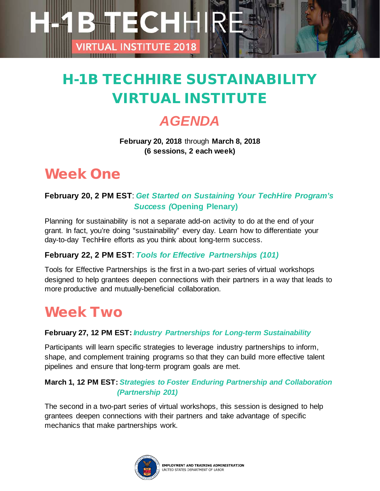# H-1B TECHHIRE SUSTAINABILITY VIRTUAL INSTITUTE

ECHH

**AL INSTITUTE 2018** 

### *AGENDA*

**February 20, 2018** through **March 8, 2018 (6 sessions, 2 each week)**

### Week One

### **February 20, 2 PM EST**: *Get Started on Sustaining Your TechHire Program's Success (***Opening Plenary)**

Planning for sustainability is not a separate add-on activity to do at the end of your grant. In fact, you're doing "sustainability" every day. Learn how to differentiate your day-to-day TechHire efforts as you think about long-term success.

#### **February 22, 2 PM EST**: *Tools for Effective Partnerships (101)*

Tools for Effective Partnerships is the first in a two-part series of virtual workshops designed to help grantees deepen connections with their partners in a way that leads to more productive and mutually-beneficial collaboration.

### Week Two

#### **February 27, 12 PM EST:** *Industry Partnerships for Long-term Sustainability*

Participants will learn specific strategies to leverage industry partnerships to inform, shape, and complement training programs so that they can build more effective talent pipelines and ensure that long-term program goals are met.

#### **March 1, 12 PM EST:** *Strategies to Foster Enduring Partnership and Collaboration (Partnership 201)*

The second in a two-part series of virtual workshops, this session is designed to help grantees deepen connections with their partners and take advantage of specific mechanics that make partnerships work.